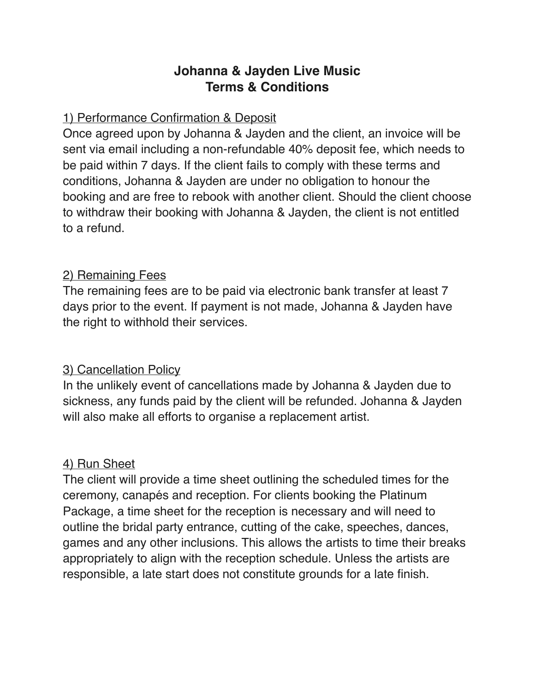# **Johanna & Jayden Live Music Terms & Conditions**

## 1) Performance Confirmation & Deposit

Once agreed upon by Johanna & Jayden and the client, an invoice will be sent via email including a non-refundable 40% deposit fee, which needs to be paid within 7 days. If the client fails to comply with these terms and conditions, Johanna & Jayden are under no obligation to honour the booking and are free to rebook with another client. Should the client choose to withdraw their booking with Johanna & Jayden, the client is not entitled to a refund.

### 2) Remaining Fees

The remaining fees are to be paid via electronic bank transfer at least 7 days prior to the event. If payment is not made, Johanna & Jayden have the right to withhold their services.

### 3) Cancellation Policy

In the unlikely event of cancellations made by Johanna & Jayden due to sickness, any funds paid by the client will be refunded. Johanna & Jayden will also make all efforts to organise a replacement artist.

### 4) Run Sheet

The client will provide a time sheet outlining the scheduled times for the ceremony, canapés and reception. For clients booking the Platinum Package, a time sheet for the reception is necessary and will need to outline the bridal party entrance, cutting of the cake, speeches, dances, games and any other inclusions. This allows the artists to time their breaks appropriately to align with the reception schedule. Unless the artists are responsible, a late start does not constitute grounds for a late finish.